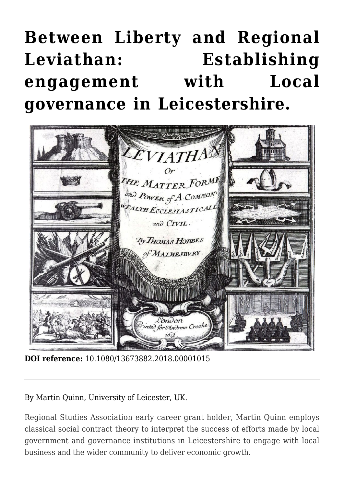# **[Between Liberty and Regional](https://regions.regionalstudies.org/ezine/article/between-liberty-and-regional-leviathan-establishing-engagement-with-local-governance-in-leicestershire/?doi=10.1080/13673882.2018.00001015) [Leviathan: Establishing](https://regions.regionalstudies.org/ezine/article/between-liberty-and-regional-leviathan-establishing-engagement-with-local-governance-in-leicestershire/?doi=10.1080/13673882.2018.00001015) [engagement with Local](https://regions.regionalstudies.org/ezine/article/between-liberty-and-regional-leviathan-establishing-engagement-with-local-governance-in-leicestershire/?doi=10.1080/13673882.2018.00001015) [governance in Leicestershire.](https://regions.regionalstudies.org/ezine/article/between-liberty-and-regional-leviathan-establishing-engagement-with-local-governance-in-leicestershire/?doi=10.1080/13673882.2018.00001015)**



**DOI reference:** 10.1080/13673882.2018.00001015

By [Martin Quinn](https://www2.le.ac.uk/departments/business/people/academic/mquinn), University of Leicester, UK.

Regional Studies Association [early career grant](https://www.regionalstudies.org/grants-awards/martin-quinn/) holder, Martin Quinn employs classical social contract theory to interpret the success of efforts made by local government and governance institutions in Leicestershire to engage with local business and the wider community to deliver economic growth.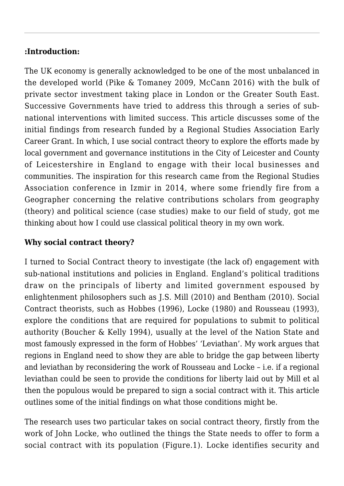# **:Introduction:**

The UK economy is generally acknowledged to be one of the most unbalanced in the developed world (Pike & Tomaney [2009](https://doi.org/10.1093/cjres/rsn025), McCann [2016](https://www.routledge.com/The-UK-Regional-National-Economic-Problem-Geography-globalisation-and/McCann/p/book/9781138647237)) with the bulk of private sector investment taking place in London or the Greater South East. Successive Governments have tried to address this through a series of subnational interventions with limited success. This article discusses some of the initial findings from research funded by a [Regional Studies Association Early](https://www.regionalstudies.org/grants-awards/martin-quinn/) [Career Grant.](https://www.regionalstudies.org/grants-awards/martin-quinn/) In which, I use social contract theory to explore the efforts made by local government and governance institutions in the City of Leicester and [County](https://www.leicestershire.gov.uk/) [of Leicestershire](https://www.leicestershire.gov.uk/) in England to engage with their local businesses and communities. The inspiration for this research came from the [Regional Studies](https://www.regionalstudies.org/events/regional-studies-association-european-conference-2014/) [Association conference in Izmir in 2014,](https://www.regionalstudies.org/events/regional-studies-association-european-conference-2014/) where some friendly fire from a Geographer concerning the relative contributions scholars from geography (theory) and political science (case studies) make to our field of study, got me thinking about how I could use classical political theory in my own work.

# **Why social contract theory?**

I turned to Social Contract theory to investigate (the lack of) engagement with sub-national institutions and policies in England. England's political traditions draw on the principals of liberty and limited government espoused by enlightenment philosophers such as J.S. Mill (2010) and Bentham (2010). Social Contract theorists, such as Hobbes (1996), Locke (1980) and Rousseau (1993), explore the conditions that are required for populations to submit to political authority (Boucher & Kelly 1994), usually at the level of the Nation State and most famously expressed in the form of Hobbes' 'Leviathan'. My work argues that regions in England need to show they are able to bridge the gap between liberty and leviathan by reconsidering the work of Rousseau and Locke – i.e. if a regional leviathan could be seen to provide the conditions for liberty laid out by Mill et al then the populous would be prepared to sign a social contract with it. This article outlines some of the initial findings on what those conditions might be.

The research uses two particular takes on social contract theory, firstly from the work of John Locke, who outlined the things the State needs to offer to form a social contract with its population (Figure.1). Locke identifies security and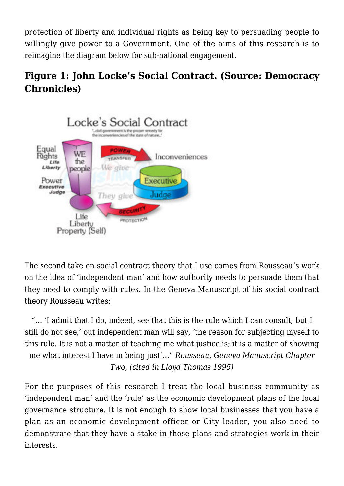protection of liberty and individual rights as being key to persuading people to willingly give power to a Government. One of the aims of this research is to reimagine the diagram below for sub-national engagement.

# **Figure 1: John Locke's Social Contract. (Source: [Democracy](https://democracychronicles.org/new-social-contract-conservative-remolding-of-democratic-world/) [Chronicles\)](https://democracychronicles.org/new-social-contract-conservative-remolding-of-democratic-world/)**



The second take on social contract theory that I use comes from Rousseau's work on the idea of 'independent man' and how authority needs to persuade them that they need to comply with rules. In the Geneva Manuscript of his social contract theory Rousseau writes:

"… 'I admit that I do, indeed, see that this is the rule which I can consult; but I still do not see,' out independent man will say, 'the reason for subjecting myself to this rule. It is not a matter of teaching me what justice is; it is a matter of showing me what interest I have in being just'…" *Rousseau, Geneva Manuscript Chapter Two, (cited in Lloyd Thomas 1995)*

For the purposes of this research I treat the local business community as 'independent man' and the 'rule' as the economic development plans of the local governance structure. It is not enough to show local businesses that you have a plan as an economic development officer or City leader, you also need to demonstrate that they have a stake in those plans and strategies work in their interests.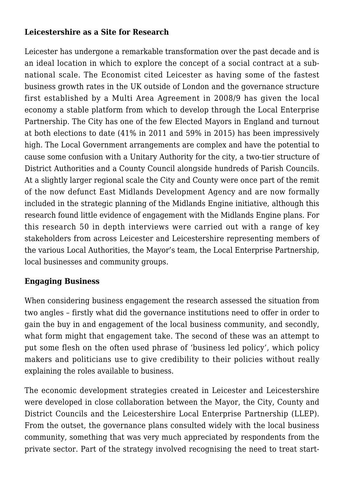# **Leicestershire as a Site for Research**

Leicester has undergone a remarkable transformation over the past decade and is an ideal location in which to explore the concept of a social contract at a subnational scale. The Economist cited Leicester as having some of the fastest business growth rates in the UK outside of London and the governance structure first established by a Multi Area Agreement in 2008/9 has given the local economy a stable platform from which to develop through the Local Enterprise Partnership. The City has one of the few Elected Mayors in England and turnout at both elections to date (41% in 2011 and 59% in 2015) has been impressively high. The Local Government arrangements are complex and have the potential to cause some confusion with a Unitary Authority for the city, a two-tier structure of District Authorities and a County Council alongside hundreds of Parish Councils. At a slightly larger regional scale the City and County were once part of the remit of the now defunct [East Midlands Development Agency](https://www.gov.uk/government/organisations/east-midlands-development-agency-emda) and are now formally included in the strategic planning of the [Midlands Engine initiative,](https://www.midlandsengine.org/) although this research found little evidence of engagement with the Midlands Engine plans. For this research 50 in depth interviews were carried out with a range of key stakeholders from across Leicester and Leicestershire representing members of the various Local Authorities, the Mayor's team, the Local Enterprise Partnership, local businesses and community groups.

## **Engaging Business**

When considering business engagement the research assessed the situation from two angles – firstly what did the governance institutions need to offer in order to gain the buy in and engagement of the local business community, and secondly, what form might that engagement take. The second of these was an attempt to put some flesh on the often used phrase of 'business led policy', which policy makers and politicians use to give credibility to their policies without really explaining the roles available to business.

The economic development strategies created in Leicester and Leicestershire were developed in close collaboration between the Mayor, the City, County and District Councils and the [Leicestershire Local Enterprise Partnership](https://www.llep.org.uk/) (LLEP). From the outset, the governance plans consulted widely with the local business community, something that was very much appreciated by respondents from the private sector. Part of the strategy involved recognising the need to treat start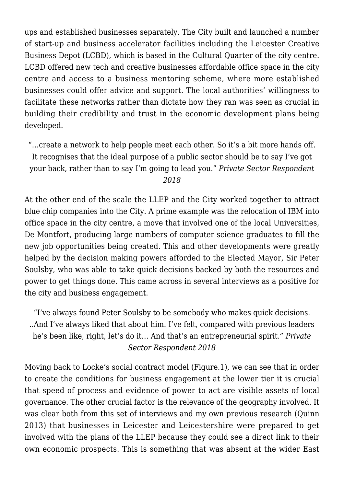ups and established businesses separately. The City built and launched a number of start-up and business accelerator facilities including the [Leicester Creative](http://www.lcbdepot.co.uk/) [Business Depot](http://www.lcbdepot.co.uk/) (LCBD), which is based in the Cultural Quarter of the city centre. LCBD offered new tech and creative businesses affordable office space in the city centre and access to a business mentoring scheme, where more established businesses could offer advice and support. The local authorities' willingness to facilitate these networks rather than dictate how they ran was seen as crucial in building their credibility and trust in the economic development plans being developed.

"…create a network to help people meet each other. So it's a bit more hands off. It recognises that the ideal purpose of a public sector should be to say I've got your back, rather than to say I'm going to lead you." *Private Sector Respondent*

#### *2018*

At the other end of the scale the LLEP and the City worked together to attract blue chip companies into the City. A prime example was the relocation of IBM into office space in the city centre, a move that involved one of the local Universities, De Montfort, producing large numbers of computer science graduates to fill the new job opportunities being created. This and other developments were greatly helped by the decision making powers afforded to the Elected Mayor, Sir Peter Soulsby, who was able to take quick decisions backed by both the resources and power to get things done. This came across in several interviews as a positive for the city and business engagement.

"I've always found Peter Soulsby to be somebody who makes quick decisions. ..And I've always liked that about him. I've felt, compared with previous leaders he's been like, right, let's do it… And that's an entrepreneurial spirit." *Private Sector Respondent 2018*

Moving back to Locke's social contract model (Figure.1), we can see that in order to create the conditions for business engagement at the lower tier it is crucial that speed of process and evidence of power to act are visible assets of local governance. The other crucial factor is the relevance of the geography involved. It was clear both from this set of interviews and my own previous research (Quinn [2013](https://doi.org/10.1177/0269094213500124)) that businesses in Leicester and Leicestershire were prepared to get involved with the plans of the LLEP because they could see a direct link to their own economic prospects. This is something that was absent at the wider East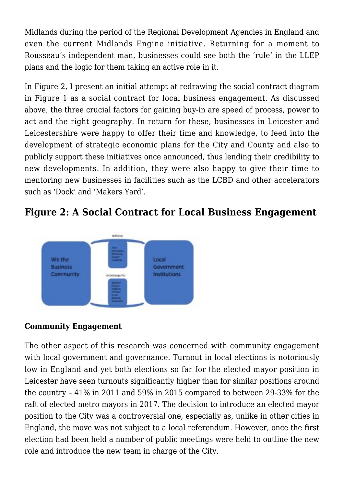Midlands during the period of the Regional Development Agencies in England and even the current Midlands Engine initiative. Returning for a moment to Rousseau's independent man, businesses could see both the 'rule' in the LLEP plans and the logic for them taking an active role in it.

In Figure 2, I present an initial attempt at redrawing the social contract diagram in Figure 1 as a social contract for local business engagement. As discussed above, the three crucial factors for gaining buy-in are speed of process, power to act and the right geography. In return for these, businesses in Leicester and Leicestershire were happy to offer their time and knowledge, to feed into the development of strategic economic plans for the City and County and also to publicly support these initiatives once announced, thus lending their credibility to new developments. In addition, they were also happy to give their time to mentoring new businesses in facilities such as the LCBD and other accelerators such as 'Dock' and 'Makers Yard'.

# **Figure 2: A Social Contract for Local Business Engagement**



## **Community Engagement**

The other aspect of this research was concerned with community engagement with local government and governance. Turnout in local elections is notoriously low in England and yet both elections so far for the elected mayor position in Leicester have seen turnouts significantly higher than for similar positions around the country – 41% in 2011 and 59% in 2015 compared to between 29-33% for the raft of elected metro mayors in 2017. The decision to introduce an elected mayor position to the City was a controversial one, especially as, unlike in other cities in England, the move was not subject to a local referendum. However, once the first election had been held a number of public meetings were held to outline the new role and introduce the new team in charge of the City.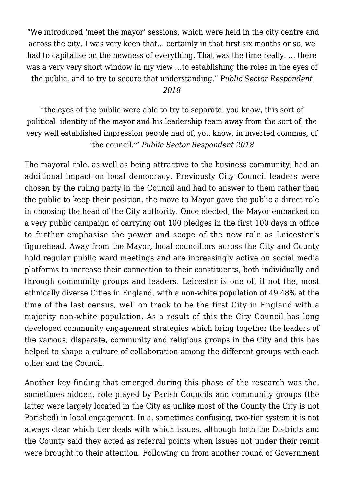"We introduced 'meet the mayor' sessions, which were held in the city centre and across the city. I was very keen that… certainly in that first six months or so, we had to capitalise on the newness of everything. That was the time really. … there was a very very short window in my view …to establishing the roles in the eyes of the public, and to try to secure that understanding." P*ublic Sector Respondent*

*2018*

"the eyes of the public were able to try to separate, you know, this sort of political identity of the mayor and his leadership team away from the sort of, the very well established impression people had of, you know, in inverted commas, of 'the council.'" *Public Sector Respondent 2018*

The mayoral role, as well as being attractive to the business community, had an additional impact on local democracy. Previously City Council leaders were chosen by the ruling party in the Council and had to answer to them rather than the public to keep their position, the move to Mayor gave the public a direct role in choosing the head of the City authority. Once elected, the Mayor embarked on a very public campaign of carrying out 100 pledges in the first 100 days in office to further emphasise the power and scope of the new role as Leicester's figurehead. Away from the Mayor, local councillors across the City and County hold regular public ward meetings and are increasingly active on social media platforms to increase their connection to their constituents, both individually and through community groups and leaders. Leicester is one of, if not the, most ethnically diverse Cities in England, with a non-white population of 49.48% at the time of the last census, well on track to be the first City in England with a majority non-white population. As a result of this the City Council has long developed community engagement strategies which bring together the leaders of the various, disparate, community and religious groups in the City and this has helped to shape a culture of collaboration among the different groups with each other and the Council.

Another key finding that emerged during this phase of the research was the, sometimes hidden, role played by Parish Councils and community groups (the latter were largely located in the City as unlike most of the County the City is not Parished) in local engagement. In a, sometimes confusing, two-tier system it is not always clear which tier deals with which issues, although both the Districts and the County said they acted as referral points when issues not under their remit were brought to their attention. Following on from another round of Government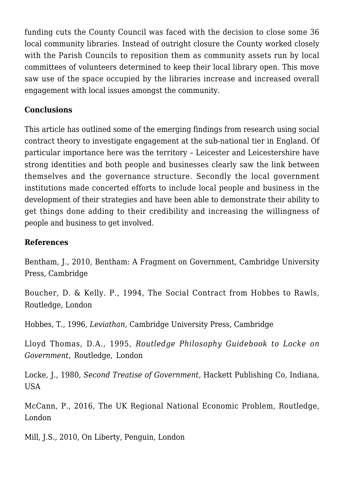funding cuts the County Council was faced with the decision to close some 36 local community libraries. Instead of outright closure the County worked closely with the Parish Councils to reposition them as community assets run by local committees of volunteers determined to keep their local library open. This move saw use of the space occupied by the libraries increase and increased overall engagement with local issues amongst the community.

# **Conclusions**

This article has outlined some of the emerging findings from research using social contract theory to investigate engagement at the sub-national tier in England. Of particular importance here was the territory – Leicester and Leicestershire have strong identities and both people and businesses clearly saw the link between themselves and the governance structure. Secondly the local government institutions made concerted efforts to include local people and business in the development of their strategies and have been able to demonstrate their ability to get things done adding to their credibility and increasing the willingness of people and business to get involved.

### **References**

Bentham, J., 2010, [Bentham: A Fragment on Government,](https://doi.org/10.1017/CBO9781139163675) Cambridge University Press, Cambridge

Boucher, D. & Kelly. P., 1994, [The Social Contract from Hobbes to Rawls](https://www.routledge.com/The-Social-Contract-from-Hobbes-to-Rawls/Boucher-Kelly/p/book/9780415108461)*,* Routledge, London

Hobbes, T., 1996, *Leviathan,* Cambridge University Press, Cambridge

Lloyd Thomas, D.A., 1995, *Routledge Philosophy Guidebook to Locke on Government*, Routledge, London

Locke, J., 1980, *Second Treatise of Government,* Hackett Publishing Co, Indiana, USA

McCann, P., 2016, [The UK Regional National Economic Problem,](https://www.routledge.com/The-UK-Regional-National-Economic-Problem-Geography-globalisation-and/McCann/p/book/9781138647237) Routledge, London

Mill, J.S., 2010, [On Liberty,](https://www.penguin.co.uk/books/34071/on-liberty/) Penguin, London